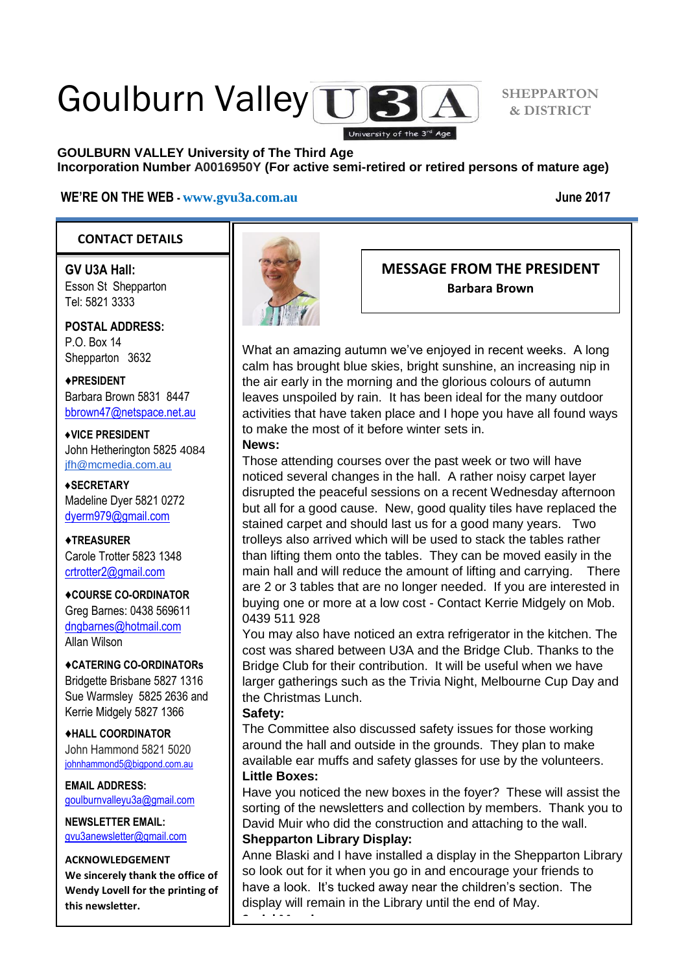# Goulburn Valley TTB

**GOULBURN VALLEY University of The Third Age Incorporation Number A0016950Y (For active semi-retired or retired persons of mature age)**

University of the 3rd Age

#### **WE'RE ON THE WEB - [www.gvu3a.com.au](http://www.gvu3a.com.au/) June 2017**

#### **CONTACT DETAILS**

**GV U3A Hall:** Esson St Shepparton Tel: 5821 3333

**POSTAL ADDRESS:** P.O. Box 14 Shepparton 3632

♦**PRESIDENT** Barbara Brown 5831 8447 [bbrown47@netspace.net.au](mailto:bbrown47@netspace.net.au)

**♦VICE PRESIDENT** John Hetherington 5825 4084 [jfh@mcmedia.com.au](mailto:jfh@mcmedia.com.au)

**♦SECRETARY** Madeline Dyer 5821 0272 [dyerm979@gmail.com](mailto:dyerm979@gmail.com)

♦**TREASURER** Carole Trotter 5823 1348 crtrotter<sub>2@gmail.com</sub>

♦**COURSE CO-ORDINATOR** Greg Barnes: 0438 569611

[dngbarnes@hotmail.com](mailto:dngbarnes@hotmail.com) Allan Wilson

♦**CATERING CO-ORDINATORs** Bridgette Brisbane 5827 1316 Sue Warmsley 5825 2636 and Kerrie Midgely 5827 1366

♦**HALL COORDINATOR** John Hammond 5821 5020 [johnhammond5@bigpond.com.au](mailto:johnhammond5@bigpond.com.au)

**EMAIL ADDRESS:** [goulburnvalleyu3a@gmail.com](mailto:goulburnvalleyu3a@gmail.com)

**NEWSLETTER EMAIL:** [gvu3anewsletter@gmail.com](mailto:gvu3anewsletter@gmail.com)

#### **ACKNOWLEDGEMENT**

**We sincerely thank the office of Wendy Lovell for the printing of this newsletter.**



### **MESSAGE FROM THE PRESIDENT Barbara Brown**

What an amazing autumn we've enjoyed in recent weeks. A long calm has brought blue skies, bright sunshine, an increasing nip in the air early in the morning and the glorious colours of autumn leaves unspoiled by rain. It has been ideal for the many outdoor activities that have taken place and I hope you have all found ways to make the most of it before winter sets in.

#### **News:**

Those attending courses over the past week or two will have noticed several changes in the hall. A rather noisy carpet layer disrupted the peaceful sessions on a recent Wednesday afternoon but all for a good cause. New, good quality tiles have replaced the stained carpet and should last us for a good many years. Two trolleys also arrived which will be used to stack the tables rather than lifting them onto the tables. They can be moved easily in the main hall and will reduce the amount of lifting and carrying. There are 2 or 3 tables that are no longer needed. If you are interested in buying one or more at a low cost - Contact Kerrie Midgely on Mob. 0439 511 928

You may also have noticed an extra refrigerator in the kitchen. The cost was shared between U3A and the Bridge Club. Thanks to the Bridge Club for their contribution. It will be useful when we have larger gatherings such as the Trivia Night, Melbourne Cup Day and the Christmas Lunch.

#### **Safety:**

The Committee also discussed safety issues for those working around the hall and outside in the grounds. They plan to make available ear muffs and safety glasses for use by the volunteers. **Little Boxes:**

Have you noticed the new boxes in the foyer? These will assist the sorting of the newsletters and collection by members. Thank you to David Muir who did the construction and attaching to the wall. **Shepparton Library Display:**

Anne Blaski and I have installed a display in the Shepparton Library so look out for it when you go in and encourage your friends to have a look. It's tucked away near the children's section. The display will remain in the Library until the end of May.

**Social Morning:**

**SHEPPARTON & DISTRICT**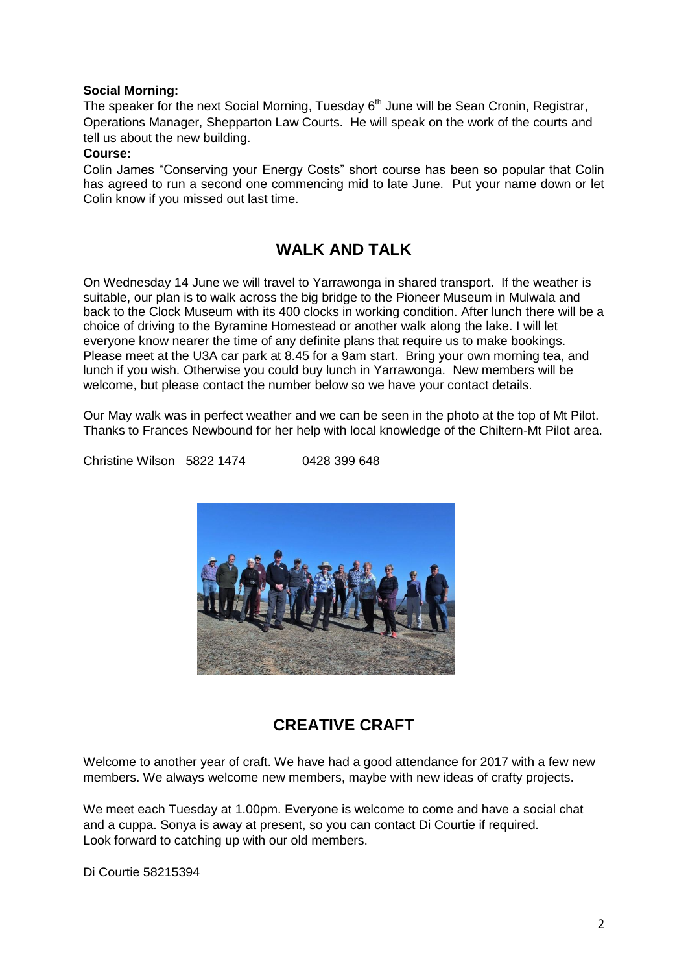#### **Social Morning:**

The speaker for the next Social Morning, Tuesday  $6<sup>th</sup>$  June will be Sean Cronin, Registrar, Operations Manager, Shepparton Law Courts. He will speak on the work of the courts and tell us about the new building.

#### **Course:**

Colin James "Conserving your Energy Costs" short course has been so popular that Colin has agreed to run a second one commencing mid to late June. Put your name down or let Colin know if you missed out last time.

# **WALK AND TALK**

On Wednesday 14 June we will travel to Yarrawonga in shared transport. If the weather is suitable, our plan is to walk across the big bridge to the Pioneer Museum in Mulwala and back to the Clock Museum with its 400 clocks in working condition. After lunch there will be a choice of driving to the Byramine Homestead or another walk along the lake. I will let everyone know nearer the time of any definite plans that require us to make bookings. Please meet at the U3A car park at 8.45 for a 9am start. Bring your own morning tea, and lunch if you wish. Otherwise you could buy lunch in Yarrawonga. New members will be welcome, but please contact the number below so we have your contact details.

Our May walk was in perfect weather and we can be seen in the photo at the top of Mt Pilot. Thanks to Frances Newbound for her help with local knowledge of the Chiltern-Mt Pilot area.

Christine Wilson 5822 1474 0428 399 648



## **CREATIVE CRAFT**

Welcome to another year of craft. We have had a good attendance for 2017 with a few new members. We always welcome new members, maybe with new ideas of crafty projects.

We meet each Tuesday at 1.00pm. Everyone is welcome to come and have a social chat and a cuppa. Sonya is away at present, so you can contact Di Courtie if required. Look forward to catching up with our old members.

Di Courtie 58215394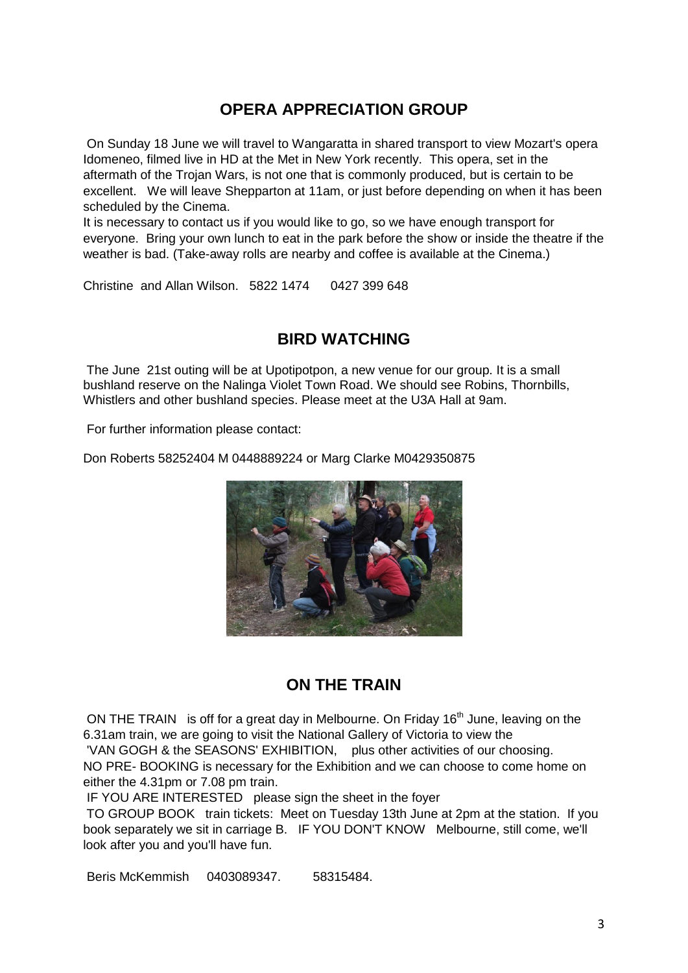# **OPERA APPRECIATION GROUP**

On Sunday 18 June we will travel to Wangaratta in shared transport to view Mozart's opera Idomeneo, filmed live in HD at the Met in New York recently. This opera, set in the aftermath of the Trojan Wars, is not one that is commonly produced, but is certain to be excellent. We will leave Shepparton at 11am, or just before depending on when it has been scheduled by the Cinema.

It is necessary to contact us if you would like to go, so we have enough transport for everyone. Bring your own lunch to eat in the park before the show or inside the theatre if the weather is bad. (Take-away rolls are nearby and coffee is available at the Cinema.)

Christine and Allan Wilson. 5822 1474 0427 399 648

## **BIRD WATCHING**

The June 21st outing will be at Upotipotpon, a new venue for our group. It is a small bushland reserve on the Nalinga Violet Town Road. We should see Robins, Thornbills, Whistlers and other bushland species. Please meet at the U3A Hall at 9am.

For further information please contact:

Don Roberts 58252404 M 0448889224 or Marg Clarke M0429350875



## **ON THE TRAIN**

ON THE TRAIN is off for a great day in Melbourne. On Friday 16<sup>th</sup> June, leaving on the 6.31am train, we are going to visit the National Gallery of Victoria to view the 'VAN GOGH & the SEASONS' EXHIBITION, plus other activities of our choosing.

NO PRE- BOOKING is necessary for the Exhibition and we can choose to come home on either the 4.31pm or 7.08 pm train.

IF YOU ARE INTERESTED please sign the sheet in the foyer

TO GROUP BOOK train tickets: Meet on Tuesday 13th June at 2pm at the station. If you book separately we sit in carriage B. IF YOU DON'T KNOW Melbourne, still come, we'll look after you and you'll have fun.

Beris McKemmish 0403089347. 58315484.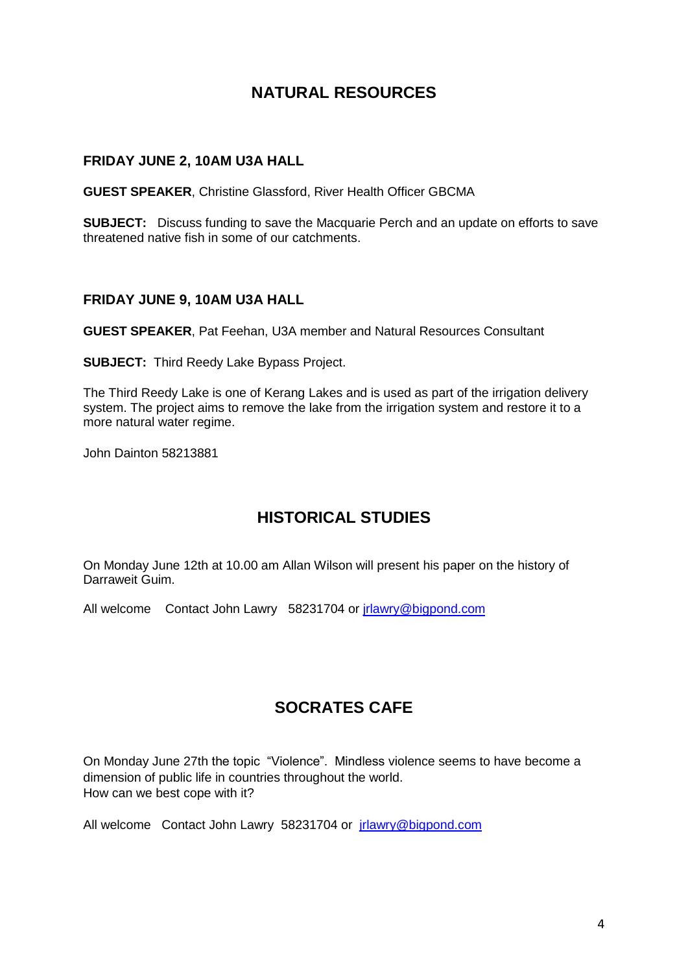# **NATURAL RESOURCES**

#### **FRIDAY JUNE 2, 10AM U3A HALL**

**GUEST SPEAKER**, Christine Glassford, River Health Officer GBCMA

**SUBJECT:** Discuss funding to save the Macquarie Perch and an update on efforts to save threatened native fish in some of our catchments.

#### **FRIDAY JUNE 9, 10AM U3A HALL**

**GUEST SPEAKER**, Pat Feehan, U3A member and Natural Resources Consultant

**SUBJECT:** Third Reedy Lake Bypass Project.

The Third Reedy Lake is one of Kerang Lakes and is used as part of the irrigation delivery system. The project aims to remove the lake from the irrigation system and restore it to a more natural water regime.

John Dainton 58213881

## **HISTORICAL STUDIES**

On Monday June 12th at 10.00 am Allan Wilson will present his paper on the history of Darraweit Guim.

All welcome Contact John Lawry 58231704 or [jrlawry@bigpond.com](mailto:jrlawry@bigpond.com)

## **SOCRATES CAFE**

On Monday June 27th the topic "Violence". Mindless violence seems to have become a dimension of public life in countries throughout the world. How can we best cope with it?

All welcome Contact John Lawry 58231704 or *irlawry@bigpond.com*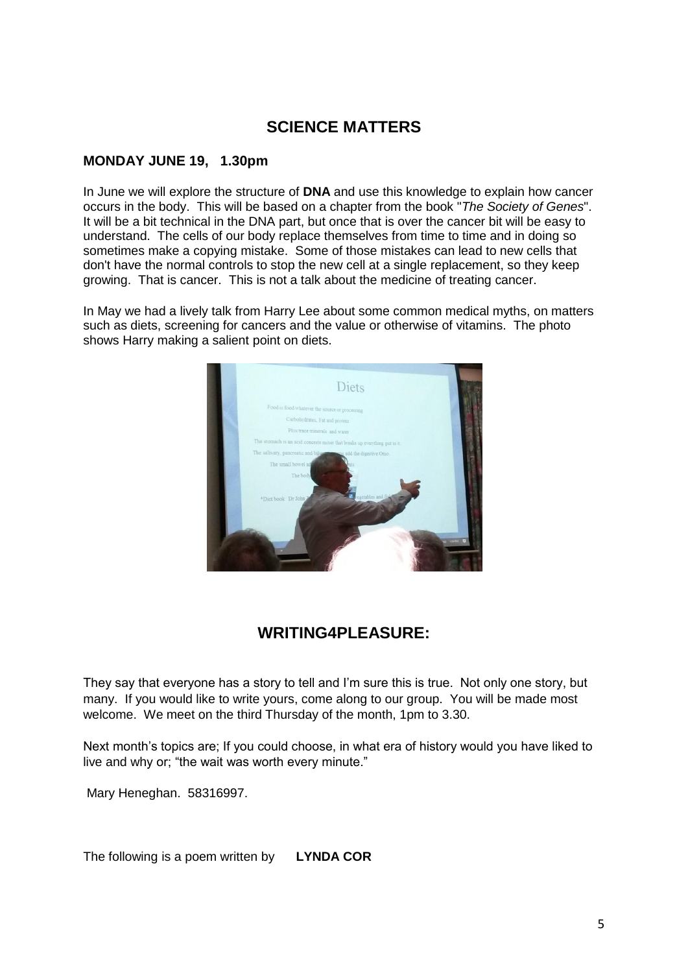## **SCIENCE MATTERS**

#### **MONDAY JUNE 19, 1.30pm**

In June we will explore the structure of **DNA** and use this knowledge to explain how cancer occurs in the body. This will be based on a chapter from the book "*The Society of Genes*". It will be a bit technical in the DNA part, but once that is over the cancer bit will be easy to understand. The cells of our body replace themselves from time to time and in doing so sometimes make a copying mistake. Some of those mistakes can lead to new cells that don't have the normal controls to stop the new cell at a single replacement, so they keep growing. That is cancer. This is not a talk about the medicine of treating cancer.

In May we had a lively talk from Harry Lee about some common medical myths, on matters such as diets, screening for cancers and the value or otherwise of vitamins. The photo shows Harry making a salient point on diets.



# **WRITING4PLEASURE:**

They say that everyone has a story to tell and I'm sure this is true. Not only one story, but many. If you would like to write yours, come along to our group. You will be made most welcome. We meet on the third Thursday of the month, 1pm to 3.30.

Next month's topics are; If you could choose, in what era of history would you have liked to live and why or; "the wait was worth every minute."

Mary Heneghan. 58316997.

The following is a poem written by **LYNDA COR**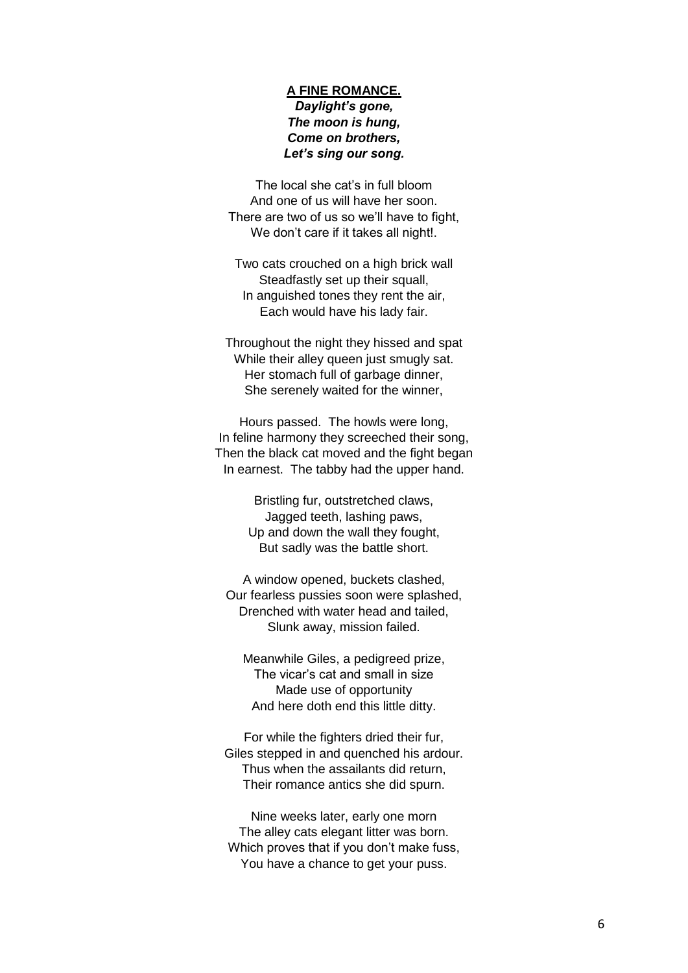#### **A FINE ROMANCE.** *Daylight's gone, The moon is hung, Come on brothers, Let's sing our song.*

The local she cat's in full bloom And one of us will have her soon. There are two of us so we'll have to fight, We don't care if it takes all night!.

Two cats crouched on a high brick wall Steadfastly set up their squall, In anguished tones they rent the air, Each would have his lady fair.

Throughout the night they hissed and spat While their alley queen just smugly sat. Her stomach full of garbage dinner, She serenely waited for the winner,

Hours passed. The howls were long, In feline harmony they screeched their song, Then the black cat moved and the fight began In earnest. The tabby had the upper hand.

> Bristling fur, outstretched claws, Jagged teeth, lashing paws, Up and down the wall they fought, But sadly was the battle short.

A window opened, buckets clashed, Our fearless pussies soon were splashed, Drenched with water head and tailed, Slunk away, mission failed.

Meanwhile Giles, a pedigreed prize, The vicar's cat and small in size Made use of opportunity And here doth end this little ditty.

For while the fighters dried their fur, Giles stepped in and quenched his ardour. Thus when the assailants did return, Their romance antics she did spurn.

Nine weeks later, early one morn The alley cats elegant litter was born. Which proves that if you don't make fuss, You have a chance to get your puss.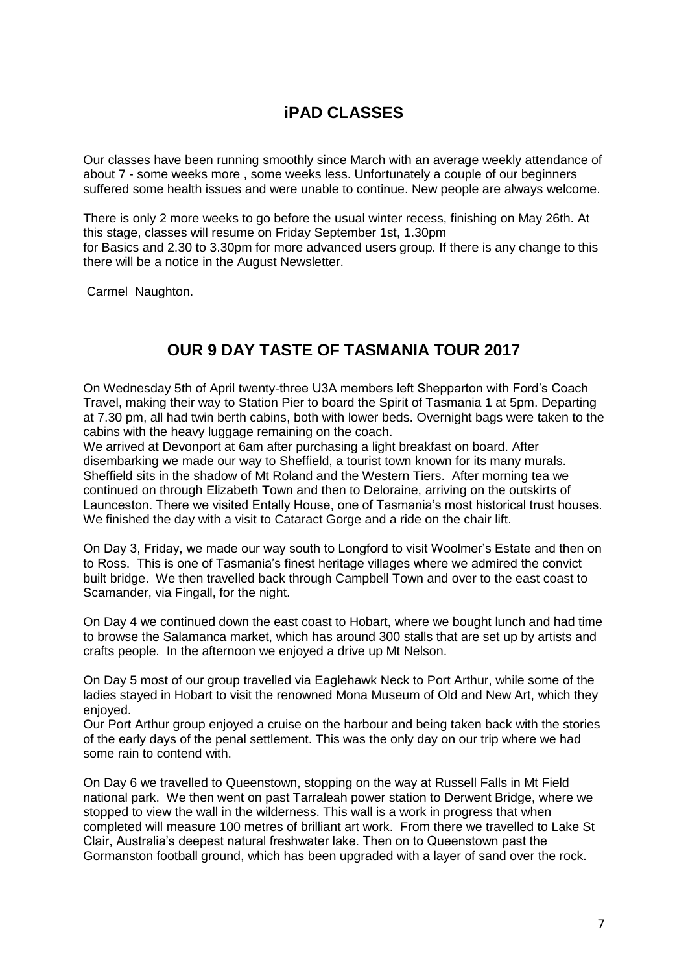# **iPAD CLASSES**

Our classes have been running smoothly since March with an average weekly attendance of about 7 - some weeks more , some weeks less. Unfortunately a couple of our beginners suffered some health issues and were unable to continue. New people are always welcome.

There is only 2 more weeks to go before the usual winter recess, finishing on May 26th. At this stage, classes will resume on Friday September 1st, 1.30pm for Basics and 2.30 to 3.30pm for more advanced users group. If there is any change to this there will be a notice in the August Newsletter.

Carmel Naughton.

# **OUR 9 DAY TASTE OF TASMANIA TOUR 2017**

On Wednesday 5th of April twenty-three U3A members left Shepparton with Ford's Coach Travel, making their way to Station Pier to board the Spirit of Tasmania 1 at 5pm. Departing at 7.30 pm, all had twin berth cabins, both with lower beds. Overnight bags were taken to the cabins with the heavy luggage remaining on the coach.

We arrived at Devonport at 6am after purchasing a light breakfast on board. After disembarking we made our way to Sheffield, a tourist town known for its many murals. Sheffield sits in the shadow of Mt Roland and the Western Tiers. After morning tea we continued on through Elizabeth Town and then to Deloraine, arriving on the outskirts of Launceston. There we visited Entally House, one of Tasmania's most historical trust houses. We finished the day with a visit to Cataract Gorge and a ride on the chair lift.

On Day 3, Friday, we made our way south to Longford to visit Woolmer's Estate and then on to Ross. This is one of Tasmania's finest heritage villages where we admired the convict built bridge. We then travelled back through Campbell Town and over to the east coast to Scamander, via Fingall, for the night.

On Day 4 we continued down the east coast to Hobart, where we bought lunch and had time to browse the Salamanca market, which has around 300 stalls that are set up by artists and crafts people. In the afternoon we enjoyed a drive up Mt Nelson.

On Day 5 most of our group travelled via Eaglehawk Neck to Port Arthur, while some of the ladies stayed in Hobart to visit the renowned Mona Museum of Old and New Art, which they enjoyed.

Our Port Arthur group enjoyed a cruise on the harbour and being taken back with the stories of the early days of the penal settlement. This was the only day on our trip where we had some rain to contend with.

On Day 6 we travelled to Queenstown, stopping on the way at Russell Falls in Mt Field national park. We then went on past Tarraleah power station to Derwent Bridge, where we stopped to view the wall in the wilderness. This wall is a work in progress that when completed will measure 100 metres of brilliant art work. From there we travelled to Lake St Clair, Australia's deepest natural freshwater lake. Then on to Queenstown past the Gormanston football ground, which has been upgraded with a layer of sand over the rock.